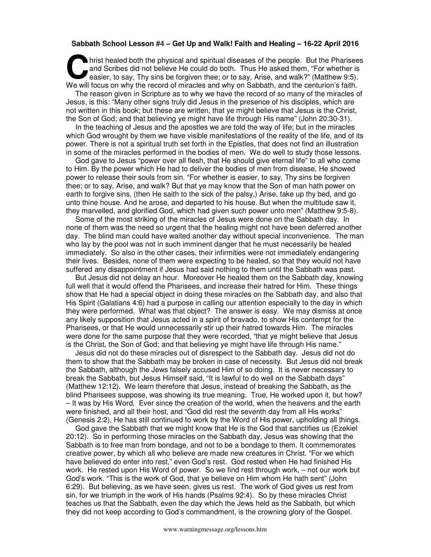## **Sabbath School Lesson #4 – Get Up and Walk! Faith and Healing – 16-22 April 2016**

hrist healed both the physical and spiritual diseases of the people. But the Pharisees and Scribes did not believe He could do both. Thus He asked them, "For whether is easier, to say, Thy sins be forgiven thee; or to say, Arise, and walk?" (Matthew 9:5). hrist healed both the physical and spiritual diseases of the people. But the Pharisee and Scribes did not believe He could do both. Thus He asked them, "For whether is easier, to say, Thy sins be forgiven thee; or to say,

The reason given in Scripture as to why we have the record of so many of the miracles of Jesus, is this: "Many other signs truly did Jesus in the presence of his disciples, which are not written in this book; but these are written, that ye might believe that Jesus is the Christ, the Son of God; and that believing ye might have life through His name" (John 20:30-31).

In the teaching of Jesus and the apostles we are told the way of life; but in the miracles which God wrought by them we have visible manifestations of the reality of the life, and of its power. There is not a spiritual truth set forth in the Epistles, that does not find an illustration in some of the miracles performed in the bodies of men. We do well to study those lessons.

God gave to Jesus "power over all flesh, that He should give eternal life" to all who come to Him. By the power which He had to deliver the bodies of men from disease, He showed power to release their souls from sin. "For whether is easier, to say, Thy sins be forgiven thee; or to say, Arise, and walk? But that ye may know that the Son of man hath power on earth to forgive sins, (then He saith to the sick of the palsy,) Arise, take up thy bed, and go unto thine house. And he arose, and departed to his house. But when the multitude saw it, they marvelled, and glorified God, which had given such power unto men" (Matthew 9:5-8).

Some of the most striking of the miracles of Jesus were done on the Sabbath day. In none of them was the need so urgent that the healing might not have been deferred another day. The blind man could have waited another day without special inconvenience. The man who lay by the pool was not in such imminent danger that he must necessarily be healed immediately. So also in the other cases, their infirmities were not immediately endangering their lives. Besides, none of them were expecting to be healed, so that they would not have suffered any disappointment if Jesus had said nothing to them until the Sabbath was past.

But Jesus did not delay an hour. Moreover He healed them on the Sabbath day, knowing full well that it would offend the Pharisees, and increase their hatred for Him. These things show that He had a special object in doing these miracles on the Sabbath day, and also that His Spirit (Galatians 4:6) had a purpose in calling our attention especially to the day in which they were performed. What was that object? The answer is easy. We may dismiss at once any likely supposition that Jesus acted in a spirit of bravado, to show His contempt for the Pharisees, or that He would unnecessarily stir up their hatred towards Him. The miracles were done for the same purpose that they were recorded, "that ye might believe that Jesus is the Christ, the Son of God; and that believing ye might have life through His name."

Jesus did not do these miracles out of disrespect to the Sabbath day. Jesus did not do them to show that the Sabbath may be broken in case of necessity. But Jesus did not break the Sabbath, although the Jews falsely accused Him of so doing. It is never necessary to break the Sabbath, but Jesus Himself said, "It is lawful to do well on the Sabbath days" (Matthew 12:12). We learn therefore that Jesus, instead of breaking the Sabbath, as the blind Pharisees suppose, was showing its true meaning. True, He worked upon it, but how? – It was by His Word. Ever since the creation of the world, when the heavens and the earth were finished, and all their host, and "God did rest the seventh day from all His works" (Genesis 2:2), He has still continued to work by the Word of His power, upholding all things.

God gave the Sabbath that we might know that He is the God that sanctifies us (Ezekiel 20:12). So in performing those miracles on the Sabbath day, Jesus was showing that the Sabbath is to free man from bondage, and not to be a bondage to them. It commemorates creative power, by which all who believe are made new creatures in Christ. "For we which have believed do enter into rest," even God's rest. God rested when He had finished His work. He rested upon His Word of power. So we find rest through work, – not our work but God's work. "This is the work of God, that ye believe on Him whom He hath sent" (John 6:29). But believing, as we have seen, gives us rest. The work of God gives us rest from sin, for we triumph in the work of His hands (Psalms 92:4). So by these miracles Christ teaches us that the Sabbath, even the day which the Jews held as the Sabbath, but which they did not keep according to God's commandment, is the crowning glory of the Gospel.